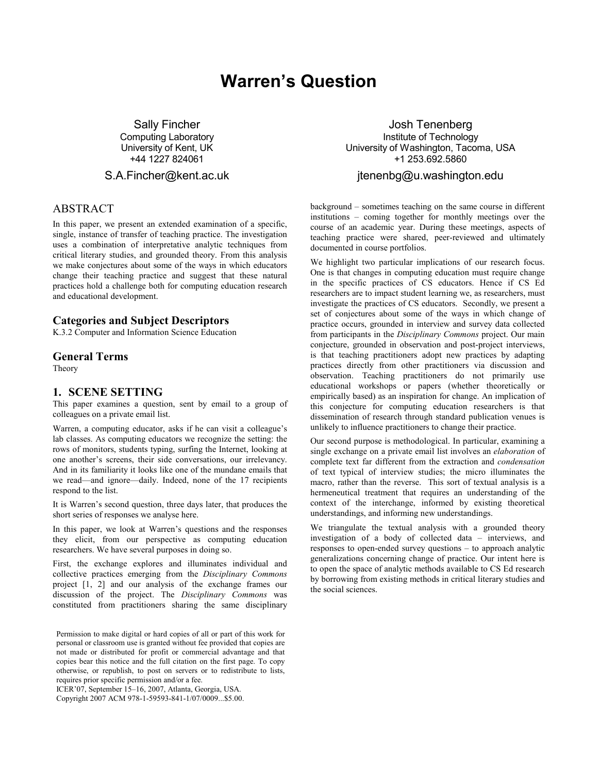# Warren's Question

Sally Fincher Computing Laboratory University of Kent, UK +44 1227 824061

#### S.A.Fincher@kent.ac.uk

## ABSTRACT

In this paper, we present an extended examination of a specific, single, instance of transfer of teaching practice. The investigation uses a combination of interpretative analytic techniques from critical literary studies, and grounded theory. From this analysis we make conjectures about some of the ways in which educators change their teaching practice and suggest that these natural practices hold a challenge both for computing education research and educational development.

#### Categories and Subject Descriptors

K.3.2 Computer and Information Science Education

#### General Terms

Theory

#### 1. SCENE SETTING

This paper examines a question, sent by email to a group of colleagues on a private email list.

Warren, a computing educator, asks if he can visit a colleague's lab classes. As computing educators we recognize the setting: the rows of monitors, students typing, surfing the Internet, looking at one another's screens, their side conversations, our irrelevancy. And in its familiarity it looks like one of the mundane emails that we read—and ignore—daily. Indeed, none of the 17 recipients respond to the list.

It is Warren's second question, three days later, that produces the short series of responses we analyse here.

In this paper, we look at Warren's questions and the responses they elicit, from our perspective as computing education researchers. We have several purposes in doing so.

First, the exchange explores and illuminates individual and collective practices emerging from the Disciplinary Commons project [1, 2] and our analysis of the exchange frames our discussion of the project. The Disciplinary Commons was constituted from practitioners sharing the same disciplinary

Permission to make digital or hard copies of all or part of this work for personal or classroom use is granted without fee provided that copies are not made or distributed for profit or commercial advantage and that copies bear this notice and the full citation on the first page. To copy otherwise, or republish, to post on servers or to redistribute to lists, requires prior specific permission and/or a fee.

ICER'07, September 15–16, 2007, Atlanta, Georgia, USA.

Copyright 2007 ACM 978-1-59593-841-1/07/0009...\$5.00.

Josh Tenenberg Institute of Technology University of Washington, Tacoma, USA +1 253.692.5860

#### jtenenbg@u.washington.edu

background – sometimes teaching on the same course in different institutions – coming together for monthly meetings over the course of an academic year. During these meetings, aspects of teaching practice were shared, peer-reviewed and ultimately documented in course portfolios.

We highlight two particular implications of our research focus. One is that changes in computing education must require change in the specific practices of CS educators. Hence if CS Ed researchers are to impact student learning we, as researchers, must investigate the practices of CS educators. Secondly, we present a set of conjectures about some of the ways in which change of practice occurs, grounded in interview and survey data collected from participants in the Disciplinary Commons project. Our main conjecture, grounded in observation and post-project interviews, is that teaching practitioners adopt new practices by adapting practices directly from other practitioners via discussion and observation. Teaching practitioners do not primarily use educational workshops or papers (whether theoretically or empirically based) as an inspiration for change. An implication of this conjecture for computing education researchers is that dissemination of research through standard publication venues is unlikely to influence practitioners to change their practice.

Our second purpose is methodological. In particular, examining a single exchange on a private email list involves an elaboration of complete text far different from the extraction and condensation of text typical of interview studies; the micro illuminates the macro, rather than the reverse. This sort of textual analysis is a hermeneutical treatment that requires an understanding of the context of the interchange, informed by existing theoretical understandings, and informing new understandings.

We triangulate the textual analysis with a grounded theory investigation of a body of collected data – interviews, and responses to open-ended survey questions – to approach analytic generalizations concerning change of practice. Our intent here is to open the space of analytic methods available to CS Ed research by borrowing from existing methods in critical literary studies and the social sciences.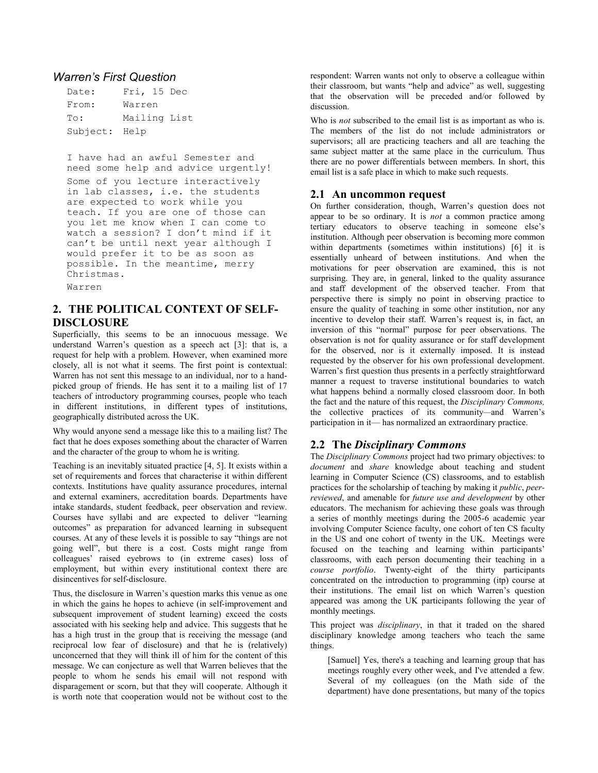#### Warren's First Question

| Date:         | Fri, 15 Dec  |  |  |
|---------------|--------------|--|--|
| From:         | Warren       |  |  |
| To:           | Mailing List |  |  |
| Subject: Help |              |  |  |

I have had an awful Semester and need some help and advice urgently! Some of you lecture interactively in lab classes, i.e. the students are expected to work while you teach. If you are one of those can you let me know when I can come to watch a session? I don't mind if it can't be until next year although I would prefer it to be as soon as possible. In the meantime, merry Christmas.

Warren

# 2. THE POLITICAL CONTEXT OF SELF-DISCLOSURE

Superficially, this seems to be an innocuous message. We understand Warren's question as a speech act [3]: that is, a request for help with a problem. However, when examined more closely, all is not what it seems. The first point is contextual: Warren has not sent this message to an individual, nor to a handpicked group of friends. He has sent it to a mailing list of 17 teachers of introductory programming courses, people who teach in different institutions, in different types of institutions, geographically distributed across the UK.

Why would anyone send a message like this to a mailing list? The fact that he does exposes something about the character of Warren and the character of the group to whom he is writing.

Teaching is an inevitably situated practice [4, 5]. It exists within a set of requirements and forces that characterise it within different contexts. Institutions have quality assurance procedures, internal and external examiners, accreditation boards. Departments have intake standards, student feedback, peer observation and review. Courses have syllabi and are expected to deliver "learning outcomes" as preparation for advanced learning in subsequent courses. At any of these levels it is possible to say "things are not going well", but there is a cost. Costs might range from colleagues' raised eyebrows to (in extreme cases) loss of employment, but within every institutional context there are disincentives for self-disclosure.

Thus, the disclosure in Warren's question marks this venue as one in which the gains he hopes to achieve (in self-improvement and subsequent improvement of student learning) exceed the costs associated with his seeking help and advice. This suggests that he has a high trust in the group that is receiving the message (and reciprocal low fear of disclosure) and that he is (relatively) unconcerned that they will think ill of him for the content of this message. We can conjecture as well that Warren believes that the people to whom he sends his email will not respond with disparagement or scorn, but that they will cooperate. Although it is worth note that cooperation would not be without cost to the

respondent: Warren wants not only to observe a colleague within their classroom, but wants "help and advice" as well, suggesting that the observation will be preceded and/or followed by discussion.

Who is *not* subscribed to the email list is as important as who is. The members of the list do not include administrators or supervisors; all are practicing teachers and all are teaching the same subject matter at the same place in the curriculum. Thus there are no power differentials between members. In short, this email list is a safe place in which to make such requests.

## 2.1 An uncommon request

On further consideration, though, Warren's question does not appear to be so ordinary. It is not a common practice among tertiary educators to observe teaching in someone else's institution. Although peer observation is becoming more common within departments (sometimes within institutions) [6] it is essentially unheard of between institutions. And when the motivations for peer observation are examined, this is not surprising. They are, in general, linked to the quality assurance and staff development of the observed teacher. From that perspective there is simply no point in observing practice to ensure the quality of teaching in some other institution, nor any incentive to develop their staff. Warren's request is, in fact, an inversion of this "normal" purpose for peer observations. The observation is not for quality assurance or for staff development for the observed, nor is it externally imposed. It is instead requested by the observer for his own professional development. Warren's first question thus presents in a perfectly straightforward manner a request to traverse institutional boundaries to watch what happens behind a normally closed classroom door. In both the fact and the nature of this request, the Disciplinary Commons, the collective practices of its community—and Warren's participation in it— has normalized an extraordinary practice.

## 2.2 The Disciplinary Commons

The Disciplinary Commons project had two primary objectives: to document and share knowledge about teaching and student learning in Computer Science (CS) classrooms, and to establish practices for the scholarship of teaching by making it public, peerreviewed, and amenable for future use and development by other educators. The mechanism for achieving these goals was through a series of monthly meetings during the 2005-6 academic year involving Computer Science faculty, one cohort of ten CS faculty in the US and one cohort of twenty in the UK. Meetings were focused on the teaching and learning within participants' classrooms, with each person documenting their teaching in a course portfolio. Twenty-eight of the thirty participants concentrated on the introduction to programming (itp) course at their institutions. The email list on which Warren's question appeared was among the UK participants following the year of monthly meetings.

This project was *disciplinary*, in that it traded on the shared disciplinary knowledge among teachers who teach the same things.

[Samuel] Yes, there's a teaching and learning group that has meetings roughly every other week, and I've attended a few. Several of my colleagues (on the Math side of the department) have done presentations, but many of the topics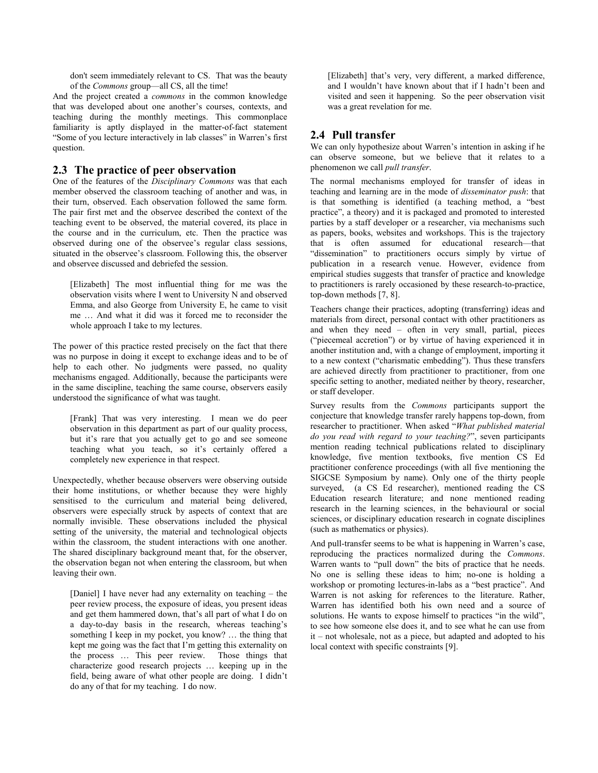don't seem immediately relevant to CS. That was the beauty of the Commons group—all CS, all the time!

And the project created a commons in the common knowledge that was developed about one another's courses, contexts, and teaching during the monthly meetings. This commonplace familiarity is aptly displayed in the matter-of-fact statement "Some of you lecture interactively in lab classes" in Warren's first question.

#### 2.3 The practice of peer observation

One of the features of the Disciplinary Commons was that each member observed the classroom teaching of another and was, in their turn, observed. Each observation followed the same form. The pair first met and the observee described the context of the teaching event to be observed, the material covered, its place in the course and in the curriculum, etc. Then the practice was observed during one of the observee's regular class sessions, situated in the observee's classroom. Following this, the observer and observee discussed and debriefed the session.

[Elizabeth] The most influential thing for me was the observation visits where I went to University N and observed Emma, and also George from University E, he came to visit me … And what it did was it forced me to reconsider the whole approach I take to my lectures.

The power of this practice rested precisely on the fact that there was no purpose in doing it except to exchange ideas and to be of help to each other. No judgments were passed, no quality mechanisms engaged. Additionally, because the participants were in the same discipline, teaching the same course, observers easily understood the significance of what was taught.

[Frank] That was very interesting. I mean we do peer observation in this department as part of our quality process, but it's rare that you actually get to go and see someone teaching what you teach, so it's certainly offered a completely new experience in that respect.

Unexpectedly, whether because observers were observing outside their home institutions, or whether because they were highly sensitised to the curriculum and material being delivered, observers were especially struck by aspects of context that are normally invisible. These observations included the physical setting of the university, the material and technological objects within the classroom, the student interactions with one another. The shared disciplinary background meant that, for the observer, the observation began not when entering the classroom, but when leaving their own.

[Daniel] I have never had any externality on teaching – the peer review process, the exposure of ideas, you present ideas and get them hammered down, that's all part of what I do on a day-to-day basis in the research, whereas teaching's something I keep in my pocket, you know? … the thing that kept me going was the fact that I'm getting this externality on the process … This peer review. Those things that characterize good research projects … keeping up in the field, being aware of what other people are doing. I didn't do any of that for my teaching. I do now.

[Elizabeth] that's very, very different, a marked difference, and I wouldn't have known about that if I hadn't been and visited and seen it happening. So the peer observation visit was a great revelation for me.

## 2.4 Pull transfer

We can only hypothesize about Warren's intention in asking if he can observe someone, but we believe that it relates to a phenomenon we call pull transfer.

The normal mechanisms employed for transfer of ideas in teaching and learning are in the mode of disseminator push: that is that something is identified (a teaching method, a "best practice", a theory) and it is packaged and promoted to interested parties by a staff developer or a researcher, via mechanisms such as papers, books, websites and workshops. This is the trajectory that is often assumed for educational research—that "dissemination" to practitioners occurs simply by virtue of publication in a research venue. However, evidence from empirical studies suggests that transfer of practice and knowledge to practitioners is rarely occasioned by these research-to-practice, top-down methods [7, 8].

Teachers change their practices, adopting (transferring) ideas and materials from direct, personal contact with other practitioners as and when they need – often in very small, partial, pieces ("piecemeal accretion") or by virtue of having experienced it in another institution and, with a change of employment, importing it to a new context ("charismatic embedding"). Thus these transfers are achieved directly from practitioner to practitioner, from one specific setting to another, mediated neither by theory, researcher, or staff developer.

Survey results from the Commons participants support the conjecture that knowledge transfer rarely happens top-down, from researcher to practitioner. When asked "What published material do you read with regard to your teaching?", seven participants mention reading technical publications related to disciplinary knowledge, five mention textbooks, five mention CS Ed practitioner conference proceedings (with all five mentioning the SIGCSE Symposium by name). Only one of the thirty people surveyed, (a CS Ed researcher), mentioned reading the CS Education research literature; and none mentioned reading research in the learning sciences, in the behavioural or social sciences, or disciplinary education research in cognate disciplines (such as mathematics or physics).

And pull-transfer seems to be what is happening in Warren's case, reproducing the practices normalized during the Commons. Warren wants to "pull down" the bits of practice that he needs. No one is selling these ideas to him; no-one is holding a workshop or promoting lectures-in-labs as a "best practice". And Warren is not asking for references to the literature. Rather, Warren has identified both his own need and a source of solutions. He wants to expose himself to practices "in the wild", to see how someone else does it, and to see what he can use from it – not wholesale, not as a piece, but adapted and adopted to his local context with specific constraints [9].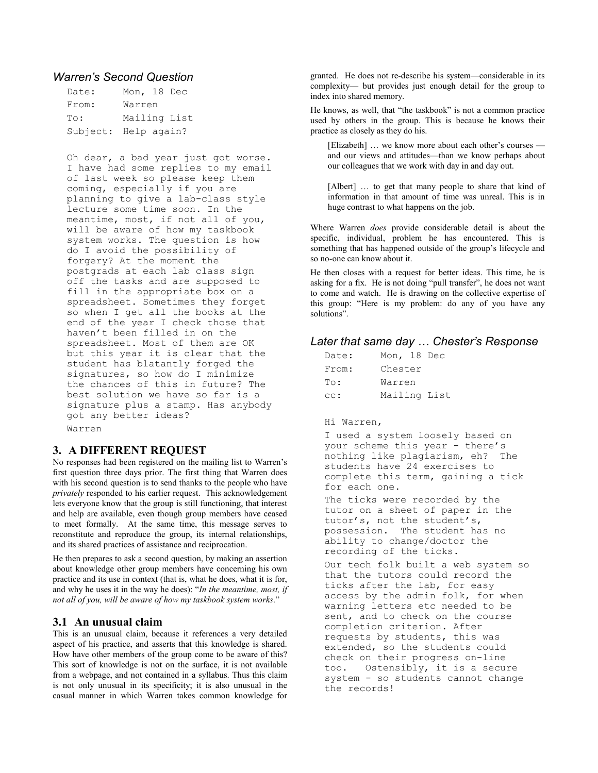## Warren's Second Question

| Date: | Mon, 18 Dec          |
|-------|----------------------|
| From: | Warren               |
| To:   | Mailing List         |
|       | Subject: Help again? |

Oh dear, a bad year just got worse. I have had some replies to my email of last week so please keep them coming, especially if you are planning to give a lab-class style lecture some time soon. In the meantime, most, if not all of you, will be aware of how my taskbook system works. The question is how do I avoid the possibility of forgery? At the moment the postgrads at each lab class sign off the tasks and are supposed to fill in the appropriate box on a spreadsheet. Sometimes they forget so when I get all the books at the end of the year I check those that haven't been filled in on the spreadsheet. Most of them are OK but this year it is clear that the student has blatantly forged the signatures, so how do I minimize the chances of this in future? The best solution we have so far is a signature plus a stamp. Has anybody got any better ideas?

#### Warren

## 3. A DIFFERENT REQUEST

No responses had been registered on the mailing list to Warren's first question three days prior. The first thing that Warren does with his second question is to send thanks to the people who have privately responded to his earlier request. This acknowledgement lets everyone know that the group is still functioning, that interest and help are available, even though group members have ceased to meet formally. At the same time, this message serves to reconstitute and reproduce the group, its internal relationships, and its shared practices of assistance and reciprocation.

He then prepares to ask a second question, by making an assertion about knowledge other group members have concerning his own practice and its use in context (that is, what he does, what it is for, and why he uses it in the way he does): "In the meantime, most, if not all of you, will be aware of how my taskbook system works."

#### 3.1 An unusual claim

This is an unusual claim, because it references a very detailed aspect of his practice, and asserts that this knowledge is shared. How have other members of the group come to be aware of this? This sort of knowledge is not on the surface, it is not available from a webpage, and not contained in a syllabus. Thus this claim is not only unusual in its specificity; it is also unusual in the casual manner in which Warren takes common knowledge for

granted. He does not re-describe his system—considerable in its complexity— but provides just enough detail for the group to index into shared memory.

He knows, as well, that "the taskbook" is not a common practice used by others in the group. This is because he knows their practice as closely as they do his.

[Elizabeth] ... we know more about each other's courses and our views and attitudes—than we know perhaps about our colleagues that we work with day in and day out.

[Albert] … to get that many people to share that kind of information in that amount of time was unreal. This is in huge contrast to what happens on the job.

Where Warren does provide considerable detail is about the specific, individual, problem he has encountered. This is something that has happened outside of the group's lifecycle and so no-one can know about it.

He then closes with a request for better ideas. This time, he is asking for a fix. He is not doing "pull transfer", he does not want to come and watch. He is drawing on the collective expertise of this group: "Here is my problem: do any of you have any solutions".

#### Later that same day … Chester's Response

| Date: | Mon, 18 Dec  |  |  |
|-------|--------------|--|--|
| From: | Chester      |  |  |
| To:   | Warren       |  |  |
| cc:   | Mailing List |  |  |

#### Hi Warren,

I used a system loosely based on your scheme this year - there's nothing like plagiarism, eh? The students have 24 exercises to complete this term, gaining a tick for each one.

The ticks were recorded by the tutor on a sheet of paper in the tutor's, not the student's, possession. The student has no ability to change/doctor the recording of the ticks.

Our tech folk built a web system so that the tutors could record the ticks after the lab, for easy access by the admin folk, for when warning letters etc needed to be sent, and to check on the course completion criterion. After requests by students, this was extended, so the students could check on their progress on-line too. Ostensibly, it is a secure system - so students cannot change the records!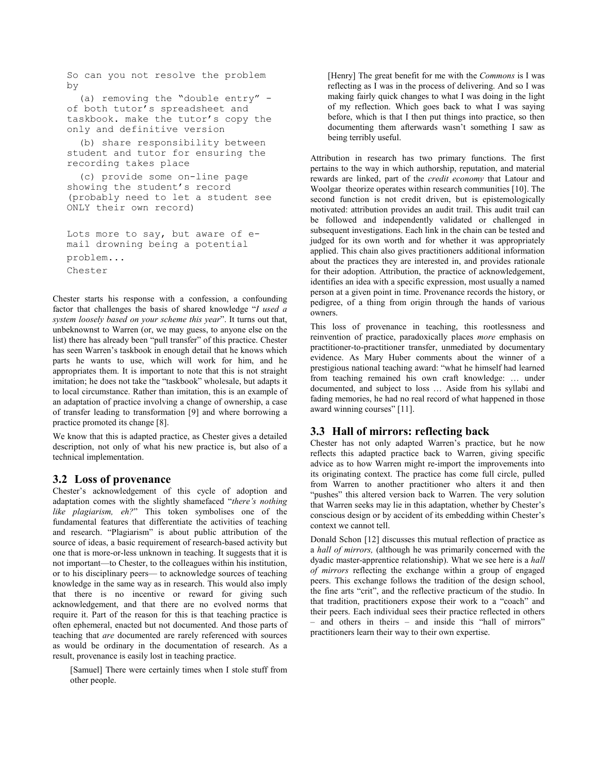```
So can you not resolve the problem 
by 
   (a) removing the "double entry" - 
of both tutor's spreadsheet and 
taskbook. make the tutor's copy the 
only and definitive version 
   (b) share responsibility between 
student and tutor for ensuring the 
recording takes place 
   (c) provide some on-line page 
showing the student's record 
(probably need to let a student see 
ONLY their own record) 
Lots more to say, but aware of e-
mail drowning being a potential 
problem...
```
Chester

Chester starts his response with a confession, a confounding factor that challenges the basis of shared knowledge "I used a system loosely based on your scheme this year". It turns out that, unbeknownst to Warren (or, we may guess, to anyone else on the list) there has already been "pull transfer" of this practice. Chester has seen Warren's taskbook in enough detail that he knows which parts he wants to use, which will work for him, and he appropriates them. It is important to note that this is not straight imitation; he does not take the "taskbook" wholesale, but adapts it to local circumstance. Rather than imitation, this is an example of an adaptation of practice involving a change of ownership, a case of transfer leading to transformation [9] and where borrowing a practice promoted its change [8].

We know that this is adapted practice, as Chester gives a detailed description, not only of what his new practice is, but also of a technical implementation.

#### 3.2 Loss of provenance

Chester's acknowledgement of this cycle of adoption and adaptation comes with the slightly shamefaced "there's nothing like plagiarism, eh?" This token symbolises one of the fundamental features that differentiate the activities of teaching and research. "Plagiarism" is about public attribution of the source of ideas, a basic requirement of research-based activity but one that is more-or-less unknown in teaching. It suggests that it is not important—to Chester, to the colleagues within his institution, or to his disciplinary peers— to acknowledge sources of teaching knowledge in the same way as in research. This would also imply that there is no incentive or reward for giving such acknowledgement, and that there are no evolved norms that require it. Part of the reason for this is that teaching practice is often ephemeral, enacted but not documented. And those parts of teaching that are documented are rarely referenced with sources as would be ordinary in the documentation of research. As a result, provenance is easily lost in teaching practice.

[Samuel] There were certainly times when I stole stuff from other people.

[Henry] The great benefit for me with the *Commons* is I was reflecting as I was in the process of delivering. And so I was making fairly quick changes to what I was doing in the light of my reflection. Which goes back to what I was saying before, which is that I then put things into practice, so then documenting them afterwards wasn't something I saw as being terribly useful.

Attribution in research has two primary functions. The first pertains to the way in which authorship, reputation, and material rewards are linked, part of the credit economy that Latour and Woolgar theorize operates within research communities [10]. The second function is not credit driven, but is epistemologically motivated: attribution provides an audit trail. This audit trail can be followed and independently validated or challenged in subsequent investigations. Each link in the chain can be tested and judged for its own worth and for whether it was appropriately applied. This chain also gives practitioners additional information about the practices they are interested in, and provides rationale for their adoption. Attribution, the practice of acknowledgement, identifies an idea with a specific expression, most usually a named person at a given point in time. Provenance records the history, or pedigree, of a thing from origin through the hands of various owners.

This loss of provenance in teaching, this rootlessness and reinvention of practice, paradoxically places more emphasis on practitioner-to-practitioner transfer, unmediated by documentary evidence. As Mary Huber comments about the winner of a prestigious national teaching award: "what he himself had learned from teaching remained his own craft knowledge: … under documented, and subject to loss … Aside from his syllabi and fading memories, he had no real record of what happened in those award winning courses" [11].

## 3.3 Hall of mirrors: reflecting back

Chester has not only adapted Warren's practice, but he now reflects this adapted practice back to Warren, giving specific advice as to how Warren might re-import the improvements into its originating context. The practice has come full circle, pulled from Warren to another practitioner who alters it and then "pushes" this altered version back to Warren. The very solution that Warren seeks may lie in this adaptation, whether by Chester's conscious design or by accident of its embedding within Chester's context we cannot tell.

Donald Schon [12] discusses this mutual reflection of practice as a hall of mirrors, (although he was primarily concerned with the dyadic master-apprentice relationship). What we see here is a hall of mirrors reflecting the exchange within a group of engaged peers. This exchange follows the tradition of the design school, the fine arts "crit", and the reflective practicum of the studio. In that tradition, practitioners expose their work to a "coach" and their peers. Each individual sees their practice reflected in others – and others in theirs – and inside this "hall of mirrors" practitioners learn their way to their own expertise.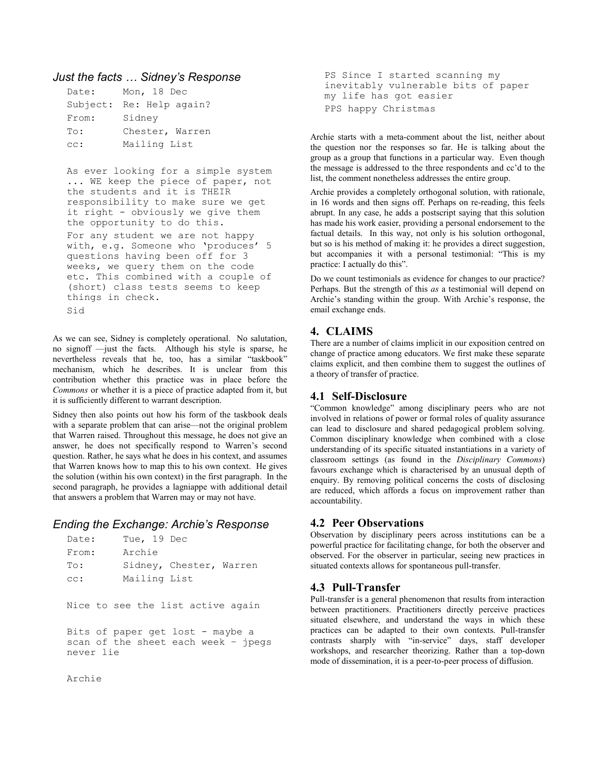## Just the facts … Sidney's Response

| Date: | Mon, 18 Dec              |
|-------|--------------------------|
|       | Subject: Re: Help again? |
| From: | Sidney                   |
| To:   | Chester, Warren          |
| cc:   | Mailing List             |

As ever looking for a simple system ... WE keep the piece of paper, not the students and it is THEIR responsibility to make sure we get it right - obviously we give them the opportunity to do this.

For any student we are not happy with, e.g. Someone who 'produces' 5 questions having been off for 3 weeks, we query them on the code etc. This combined with a couple of (short) class tests seems to keep things in check. Sid

As we can see, Sidney is completely operational. No salutation, no signoff —just the facts. Although his style is sparse, he nevertheless reveals that he, too, has a similar "taskbook" mechanism, which he describes. It is unclear from this contribution whether this practice was in place before the Commons or whether it is a piece of practice adapted from it, but it is sufficiently different to warrant description.

Sidney then also points out how his form of the taskbook deals with a separate problem that can arise—not the original problem that Warren raised. Throughout this message, he does not give an answer, he does not specifically respond to Warren's second question. Rather, he says what he does in his context, and assumes that Warren knows how to map this to his own context. He gives the solution (within his own context) in the first paragraph. In the second paragraph, he provides a lagniappe with additional detail that answers a problem that Warren may or may not have.

## Ending the Exchange: Archie's Response

| Date:     | Tue, 19 Dec  |                                     |
|-----------|--------------|-------------------------------------|
| From:     | Archie       |                                     |
| To:       |              | Sidney, Chester, Warren             |
| cc:       | Mailing List |                                     |
|           |              |                                     |
|           |              | Nice to see the list active again   |
|           |              |                                     |
|           |              | Bits of paper get lost - maybe a    |
|           |              | scan of the sheet each week - ipegs |
| never lie |              |                                     |
| Archie    |              |                                     |
|           |              |                                     |

PS Since I started scanning my inevitably vulnerable bits of paper my life has got easier PPS happy Christmas

Archie starts with a meta-comment about the list, neither about the question nor the responses so far. He is talking about the group as a group that functions in a particular way. Even though the message is addressed to the three respondents and cc'd to the list, the comment nonetheless addresses the entire group.

Archie provides a completely orthogonal solution, with rationale, in 16 words and then signs off. Perhaps on re-reading, this feels abrupt. In any case, he adds a postscript saying that this solution has made his work easier, providing a personal endorsement to the factual details. In this way, not only is his solution orthogonal, but so is his method of making it: he provides a direct suggestion, but accompanies it with a personal testimonial: "This is my practice: I actually do this".

Do we count testimonials as evidence for changes to our practice? Perhaps. But the strength of this as a testimonial will depend on Archie's standing within the group. With Archie's response, the email exchange ends.

## 4. CLAIMS

There are a number of claims implicit in our exposition centred on change of practice among educators. We first make these separate claims explicit, and then combine them to suggest the outlines of a theory of transfer of practice.

## 4.1 Self-Disclosure

"Common knowledge" among disciplinary peers who are not involved in relations of power or formal roles of quality assurance can lead to disclosure and shared pedagogical problem solving. Common disciplinary knowledge when combined with a close understanding of its specific situated instantiations in a variety of classroom settings (as found in the Disciplinary Commons) favours exchange which is characterised by an unusual depth of enquiry. By removing political concerns the costs of disclosing are reduced, which affords a focus on improvement rather than accountability.

## 4.2 Peer Observations

Observation by disciplinary peers across institutions can be a powerful practice for facilitating change, for both the observer and observed. For the observer in particular, seeing new practices in situated contexts allows for spontaneous pull-transfer.

## 4.3 Pull-Transfer

Pull-transfer is a general phenomenon that results from interaction between practitioners. Practitioners directly perceive practices situated elsewhere, and understand the ways in which these practices can be adapted to their own contexts. Pull-transfer contrasts sharply with "in-service" days, staff developer workshops, and researcher theorizing. Rather than a top-down mode of dissemination, it is a peer-to-peer process of diffusion.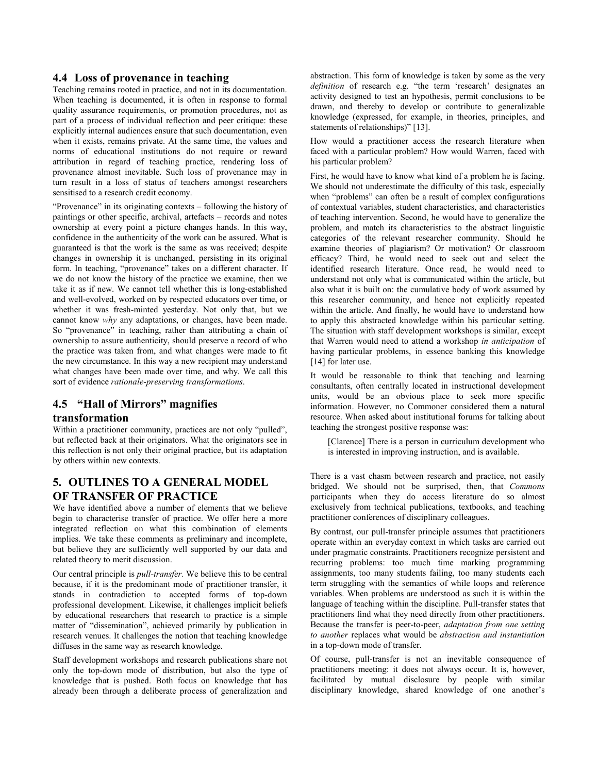#### 4.4 Loss of provenance in teaching

Teaching remains rooted in practice, and not in its documentation. When teaching is documented, it is often in response to formal quality assurance requirements, or promotion procedures, not as part of a process of individual reflection and peer critique: these explicitly internal audiences ensure that such documentation, even when it exists, remains private. At the same time, the values and norms of educational institutions do not require or reward attribution in regard of teaching practice, rendering loss of provenance almost inevitable. Such loss of provenance may in turn result in a loss of status of teachers amongst researchers sensitised to a research credit economy.

"Provenance" in its originating contexts – following the history of paintings or other specific, archival, artefacts – records and notes ownership at every point a picture changes hands. In this way, confidence in the authenticity of the work can be assured. What is guaranteed is that the work is the same as was received; despite changes in ownership it is unchanged, persisting in its original form. In teaching, "provenance" takes on a different character. If we do not know the history of the practice we examine, then we take it as if new. We cannot tell whether this is long-established and well-evolved, worked on by respected educators over time, or whether it was fresh-minted yesterday. Not only that, but we cannot know why any adaptations, or changes, have been made. So "provenance" in teaching, rather than attributing a chain of ownership to assure authenticity, should preserve a record of who the practice was taken from, and what changes were made to fit the new circumstance. In this way a new recipient may understand what changes have been made over time, and why. We call this sort of evidence rationale-preserving transformations.

## 4.5 "Hall of Mirrors" magnifies

## transformation

Within a practitioner community, practices are not only "pulled", but reflected back at their originators. What the originators see in this reflection is not only their original practice, but its adaptation by others within new contexts.

## 5. OUTLINES TO A GENERAL MODEL OF TRANSFER OF PRACTICE

We have identified above a number of elements that we believe begin to characterise transfer of practice. We offer here a more integrated reflection on what this combination of elements implies. We take these comments as preliminary and incomplete, but believe they are sufficiently well supported by our data and related theory to merit discussion.

Our central principle is pull-transfer. We believe this to be central because, if it is the predominant mode of practitioner transfer, it stands in contradiction to accepted forms of top-down professional development. Likewise, it challenges implicit beliefs by educational researchers that research to practice is a simple matter of "dissemination", achieved primarily by publication in research venues. It challenges the notion that teaching knowledge diffuses in the same way as research knowledge.

Staff development workshops and research publications share not only the top-down mode of distribution, but also the type of knowledge that is pushed. Both focus on knowledge that has already been through a deliberate process of generalization and

abstraction. This form of knowledge is taken by some as the very definition of research e.g. "the term 'research' designates an activity designed to test an hypothesis, permit conclusions to be drawn, and thereby to develop or contribute to generalizable knowledge (expressed, for example, in theories, principles, and statements of relationships)" [13].

How would a practitioner access the research literature when faced with a particular problem? How would Warren, faced with his particular problem?

First, he would have to know what kind of a problem he is facing. We should not underestimate the difficulty of this task, especially when "problems" can often be a result of complex configurations of contextual variables, student characteristics, and characteristics of teaching intervention. Second, he would have to generalize the problem, and match its characteristics to the abstract linguistic categories of the relevant researcher community. Should he examine theories of plagiarism? Or motivation? Or classroom efficacy? Third, he would need to seek out and select the identified research literature. Once read, he would need to understand not only what is communicated within the article, but also what it is built on: the cumulative body of work assumed by this researcher community, and hence not explicitly repeated within the article. And finally, he would have to understand how to apply this abstracted knowledge within his particular setting. The situation with staff development workshops is similar, except that Warren would need to attend a workshop in anticipation of having particular problems, in essence banking this knowledge [14] for later use.

It would be reasonable to think that teaching and learning consultants, often centrally located in instructional development units, would be an obvious place to seek more specific information. However, no Commoner considered them a natural resource. When asked about institutional forums for talking about teaching the strongest positive response was:

[Clarence] There is a person in curriculum development who is interested in improving instruction, and is available.

There is a vast chasm between research and practice, not easily bridged. We should not be surprised, then, that Commons participants when they do access literature do so almost exclusively from technical publications, textbooks, and teaching practitioner conferences of disciplinary colleagues.

By contrast, our pull-transfer principle assumes that practitioners operate within an everyday context in which tasks are carried out under pragmatic constraints. Practitioners recognize persistent and recurring problems: too much time marking programming assignments, too many students failing, too many students each term struggling with the semantics of while loops and reference variables. When problems are understood as such it is within the language of teaching within the discipline. Pull-transfer states that practitioners find what they need directly from other practitioners. Because the transfer is peer-to-peer, *adaptation from one setting* to another replaces what would be abstraction and instantiation in a top-down mode of transfer.

Of course, pull-transfer is not an inevitable consequence of practitioners meeting: it does not always occur. It is, however, facilitated by mutual disclosure by people with similar disciplinary knowledge, shared knowledge of one another's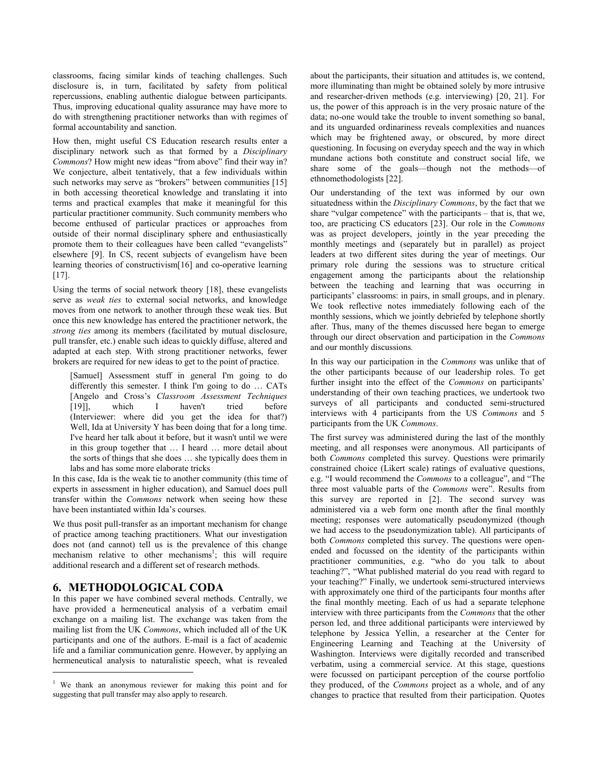classrooms, facing similar kinds of teaching challenges. Such disclosure is, in turn, facilitated by safety from political repercussions, enabling authentic dialogue between participants. Thus, improving educational quality assurance may have more to do with strengthening practitioner networks than with regimes of formal accountability and sanction.

How then, might useful CS Education research results enter a disciplinary network such as that formed by a *Disciplinary* Commons? How might new ideas "from above" find their way in? We conjecture, albeit tentatively, that a few individuals within such networks may serve as "brokers" between communities [15] in both accessing theoretical knowledge and translating it into terms and practical examples that make it meaningful for this particular practitioner community. Such community members who become enthused of particular practices or approaches from outside of their normal disciplinary sphere and enthusiastically promote them to their colleagues have been called "evangelists" elsewhere [9]. In CS, recent subjects of evangelism have been learning theories of constructivism[16] and co-operative learning [17].

Using the terms of social network theory [18], these evangelists serve as weak ties to external social networks, and knowledge moves from one network to another through these weak ties. But once this new knowledge has entered the practitioner network, the strong ties among its members (facilitated by mutual disclosure, pull transfer, etc.) enable such ideas to quickly diffuse, altered and adapted at each step. With strong practitioner networks, fewer brokers are required for new ideas to get to the point of practice.

[Samuel] Assessment stuff in general I'm going to do differently this semester. I think I'm going to do … CATs [Angelo and Cross's Classroom Assessment Techniques [19]], which I haven't tried before (Interviewer: where did you get the idea for that?) Well, Ida at University Y has been doing that for a long time. I've heard her talk about it before, but it wasn't until we were in this group together that … I heard … more detail about the sorts of things that she does … she typically does them in labs and has some more elaborate tricks

In this case, Ida is the weak tie to another community (this time of experts in assessment in higher education), and Samuel does pull transfer within the Commons network when seeing how these have been instantiated within Ida's courses.

We thus posit pull-transfer as an important mechanism for change of practice among teaching practitioners. What our investigation does not (and cannot) tell us is the prevalence of this change mechanism relative to other mechanisms<sup>1</sup>; this will require additional research and a different set of research methods.

## 6. METHODOLOGICAL CODA

j

In this paper we have combined several methods. Centrally, we have provided a hermeneutical analysis of a verbatim email exchange on a mailing list. The exchange was taken from the mailing list from the UK Commons, which included all of the UK participants and one of the authors. E-mail is a fact of academic life and a familiar communication genre. However, by applying an hermeneutical analysis to naturalistic speech, what is revealed about the participants, their situation and attitudes is, we contend, more illuminating than might be obtained solely by more intrusive and researcher-driven methods (e.g. interviewing) [20, 21]. For us, the power of this approach is in the very prosaic nature of the data; no-one would take the trouble to invent something so banal, and its unguarded ordinariness reveals complexities and nuances which may be frightened away, or obscured, by more direct questioning. In focusing on everyday speech and the way in which mundane actions both constitute and construct social life, we share some of the goals—though not the methods—of ethnomethodologists [22].

Our understanding of the text was informed by our own situatedness within the Disciplinary Commons, by the fact that we share "vulgar competence" with the participants – that is, that we, too, are practicing CS educators [23]. Our role in the Commons was as project developers, jointly in the year preceding the monthly meetings and (separately but in parallel) as project leaders at two different sites during the year of meetings. Our primary role during the sessions was to structure critical engagement among the participants about the relationship between the teaching and learning that was occurring in participants' classrooms: in pairs, in small groups, and in plenary. We took reflective notes immediately following each of the monthly sessions, which we jointly debriefed by telephone shortly after. Thus, many of the themes discussed here began to emerge through our direct observation and participation in the Commons and our monthly discussions.

In this way our participation in the *Commons* was unlike that of the other participants because of our leadership roles. To get further insight into the effect of the *Commons* on participants' understanding of their own teaching practices, we undertook two surveys of all participants and conducted semi-structured interviews with  $\overline{4}$  participants from the US Commons and 5 participants from the UK Commons.

The first survey was administered during the last of the monthly meeting, and all responses were anonymous. All participants of both Commons completed this survey. Questions were primarily constrained choice (Likert scale) ratings of evaluative questions, e.g. "I would recommend the Commons to a colleague", and "The three most valuable parts of the Commons were". Results from this survey are reported in [2]. The second survey was administered via a web form one month after the final monthly meeting; responses were automatically pseudonymized (though we had access to the pseudonymization table). All participants of both Commons completed this survey. The questions were openended and focussed on the identity of the participants within practitioner communities, e.g. "who do you talk to about teaching?", "What published material do you read with regard to your teaching?" Finally, we undertook semi-structured interviews with approximately one third of the participants four months after the final monthly meeting. Each of us had a separate telephone interview with three participants from the Commons that the other person led, and three additional participants were interviewed by telephone by Jessica Yellin, a researcher at the Center for Engineering Learning and Teaching at the University of Washington. Interviews were digitally recorded and transcribed verbatim, using a commercial service. At this stage, questions were focussed on participant perception of the course portfolio they produced, of the Commons project as a whole, and of any changes to practice that resulted from their participation. Quotes

<sup>&</sup>lt;sup>1</sup> We thank an anonymous reviewer for making this point and for suggesting that pull transfer may also apply to research.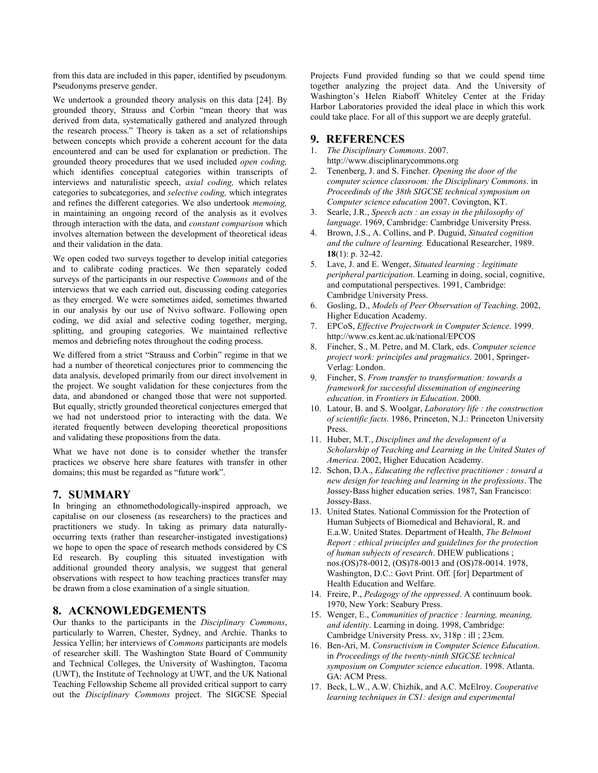from this data are included in this paper, identified by pseudonym. Pseudonyms preserve gender.

We undertook a grounded theory analysis on this data [24]. By grounded theory, Strauss and Corbin "mean theory that was derived from data, systematically gathered and analyzed through the research process." Theory is taken as a set of relationships between concepts which provide a coherent account for the data encountered and can be used for explanation or prediction. The grounded theory procedures that we used included open coding, which identifies conceptual categories within transcripts of interviews and naturalistic speech, axial coding, which relates categories to subcategories, and selective coding, which integrates and refines the different categories. We also undertook memoing, in maintaining an ongoing record of the analysis as it evolves through interaction with the data, and constant comparison which involves alternation between the development of theoretical ideas and their validation in the data.

We open coded two surveys together to develop initial categories and to calibrate coding practices. We then separately coded surveys of the participants in our respective *Commons* and of the interviews that we each carried out, discussing coding categories as they emerged. We were sometimes aided, sometimes thwarted in our analysis by our use of Nvivo software. Following open coding, we did axial and selective coding together, merging, splitting, and grouping categories. We maintained reflective memos and debriefing notes throughout the coding process.

We differed from a strict "Strauss and Corbin" regime in that we had a number of theoretical conjectures prior to commencing the data analysis, developed primarily from our direct involvement in the project. We sought validation for these conjectures from the data, and abandoned or changed those that were not supported. But equally, strictly grounded theoretical conjectures emerged that we had not understood prior to interacting with the data. We iterated frequently between developing theoretical propositions and validating these propositions from the data.

What we have not done is to consider whether the transfer practices we observe here share features with transfer in other domains; this must be regarded as "future work".

#### 7. SUMMARY

In bringing an ethnomethodologically-inspired approach, we capitalise on our closeness (as researchers) to the practices and practitioners we study. In taking as primary data naturallyoccurring texts (rather than researcher-instigated investigations) we hope to open the space of research methods considered by CS Ed research. By coupling this situated investigation with additional grounded theory analysis, we suggest that general observations with respect to how teaching practices transfer may be drawn from a close examination of a single situation.

#### 8. ACKNOWLEDGEMENTS

Our thanks to the participants in the Disciplinary Commons, particularly to Warren, Chester, Sydney, and Archie. Thanks to Jessica Yellin; her interviews of Commons participants are models of researcher skill. The Washington State Board of Community and Technical Colleges, the University of Washington, Tacoma (UWT), the Institute of Technology at UWT, and the UK National Teaching Fellowship Scheme all provided critical support to carry out the Disciplinary Commons project. The SIGCSE Special

Projects Fund provided funding so that we could spend time together analyzing the project data. And the University of Washington's Helen Riaboff Whiteley Center at the Friday Harbor Laboratories provided the ideal place in which this work could take place. For all of this support we are deeply grateful.

## 9. REFERENCES

- 1. The Disciplinary Commons. 2007. http://www.disciplinarycommons.org
- 2. Tenenberg, J. and S. Fincher. Opening the door of the computer science classroom: the Disciplinary Commons. in Proceedinds of the 38th SIGCSE technical symposium on Computer science education 2007. Covington, KT.
- 3. Searle, J.R., Speech acts : an essay in the philosophy of language. 1969, Cambridge: Cambridge University Press.
- 4. Brown, J.S., A. Collins, and P. Duguid, Situated cognition and the culture of learning. Educational Researcher, 1989. 18(1): p. 32-42.
- 5. Lave, J. and E. Wenger, Situated learning : legitimate peripheral participation. Learning in doing, social, cognitive, and computational perspectives. 1991, Cambridge: Cambridge University Press.
- 6. Gosling, D., Models of Peer Observation of Teaching. 2002, Higher Education Academy.
- 7. EPCoS, Effective Projectwork in Computer Science. 1999. http://www.cs.kent.ac.uk/national/EPCOS
- 8. Fincher, S., M. Petre, and M. Clark, eds. Computer science project work: principles and pragmatics. 2001, Springer-Verlag: London.
- 9. Fincher, S. From transfer to transformation: towards a framework for successful dissemination of engineering education. in Frontiers in Education. 2000.
- 10. Latour, B. and S. Woolgar, Laboratory life : the construction of scientific facts. 1986, Princeton, N.J.: Princeton University Press.
- 11. Huber, M.T., Disciplines and the development of a Scholarship of Teaching and Learning in the United States of America. 2002, Higher Education Academy.
- 12. Schon, D.A., Educating the reflective practitioner : toward a new design for teaching and learning in the professions. The Jossey-Bass higher education series. 1987, San Francisco: Jossey-Bass.
- 13. United States. National Commission for the Protection of Human Subjects of Biomedical and Behavioral, R. and E.a.W. United States. Department of Health, The Belmont Report : ethical principles and guidelines for the protection of human subjects of research. DHEW publications ; nos.(OS)78-0012, (OS)78-0013 and (OS)78-0014. 1978, Washington, D.C.: Govt Print. Off. [for] Department of Health Education and Welfare.
- 14. Freire, P., Pedagogy of the oppressed. A continuum book. 1970, New York: Seabury Press.
- 15. Wenger, E., Communities of practice : learning, meaning, and identity. Learning in doing. 1998, Cambridge: Cambridge University Press. xv, 318p : ill ; 23cm.
- 16. Ben-Ari, M. Consructivism in Computer Science Education. in Proceedings of the twenty-ninth SIGCSE technical symposium on Computer science education. 1998. Atlanta. GA: ACM Press.
- 17. Beck, L.W., A.W. Chizhik, and A.C. McElroy. Cooperative learning techniques in CS1: design and experimental